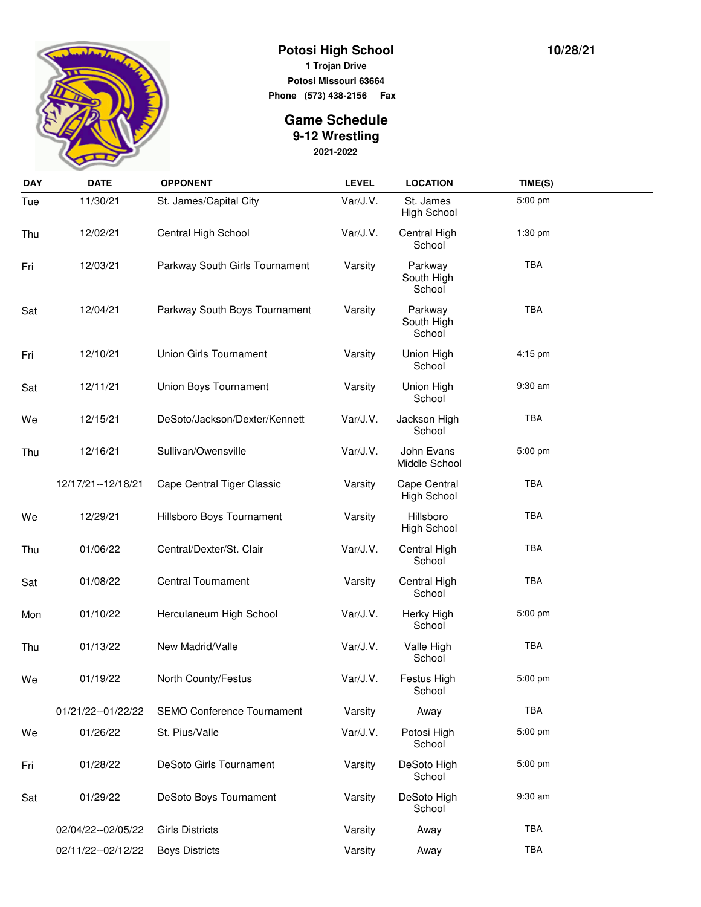

## **Potosi High School 1 Trojan Drive**

**Potosi Missouri 63664 Phone (573) 438-2156 Fax** 

## **2021-2022 Game Schedule 9-12 Wrestling**

| <b>DAY</b> | <b>DATE</b>          | <b>OPPONENT</b>                   | <b>LEVEL</b> | <b>LOCATION</b>                    | TIME(S)    |  |
|------------|----------------------|-----------------------------------|--------------|------------------------------------|------------|--|
| Tue        | 11/30/21             | St. James/Capital City            | Var/J.V.     | St. James<br>High School           | 5:00 pm    |  |
| Thu        | 12/02/21             | Central High School               | Var/J.V.     | Central High<br>School             | 1:30 pm    |  |
| Fri        | 12/03/21             | Parkway South Girls Tournament    | Varsity      | Parkway<br>South High<br>School    | <b>TBA</b> |  |
| Sat        | 12/04/21             | Parkway South Boys Tournament     | Varsity      | Parkway<br>South High<br>School    | <b>TBA</b> |  |
| Fri        | 12/10/21             | <b>Union Girls Tournament</b>     | Varsity      | Union High<br>School               | 4:15 pm    |  |
| Sat        | 12/11/21             | Union Boys Tournament             | Varsity      | Union High<br>School               | 9:30 am    |  |
| We         | 12/15/21             | DeSoto/Jackson/Dexter/Kennett     | Var/J.V.     | Jackson High<br>School             | <b>TBA</b> |  |
| Thu        | 12/16/21             | Sullivan/Owensville               | Var/J.V.     | John Evans<br>Middle School        | 5:00 pm    |  |
|            | 12/17/21--12/18/21   | Cape Central Tiger Classic        | Varsity      | Cape Central<br><b>High School</b> | TBA        |  |
| We         | 12/29/21             | Hillsboro Boys Tournament         | Varsity      | Hillsboro<br><b>High School</b>    | <b>TBA</b> |  |
| Thu        | 01/06/22             | Central/Dexter/St. Clair          | Var/J.V.     | Central High<br>School             | <b>TBA</b> |  |
| Sat        | 01/08/22             | Central Tournament                | Varsity      | Central High<br>School             | <b>TBA</b> |  |
| Mon        | 01/10/22             | Herculaneum High School           | Var/J.V.     | Herky High<br>School               | 5:00 pm    |  |
| Thu        | 01/13/22             | New Madrid/Valle                  | Var/J.V.     | Valle High<br>School               | TBA        |  |
| We         | 01/19/22             | North County/Festus               | Var/J.V.     | Festus High<br>School              | 5:00 pm    |  |
|            | 01/21/22--01/22/22   | <b>SEMO Conference Tournament</b> | Varsity      | Away                               | <b>TBA</b> |  |
| We         | 01/26/22             | St. Pius/Valle                    | Var/J.V.     | Potosi High<br>School              | 5:00 pm    |  |
| Fri        | 01/28/22             | DeSoto Girls Tournament           | Varsity      | DeSoto High<br>School              | 5:00 pm    |  |
| Sat        | 01/29/22             | DeSoto Boys Tournament            | Varsity      | DeSoto High<br>School              | 9:30 am    |  |
|            | 02/04/22--02/05/22   | <b>Girls Districts</b>            | Varsity      | Away                               | <b>TBA</b> |  |
|            | 02/11/22 -- 02/12/22 | <b>Boys Districts</b>             | Varsity      | Away                               | <b>TBA</b> |  |